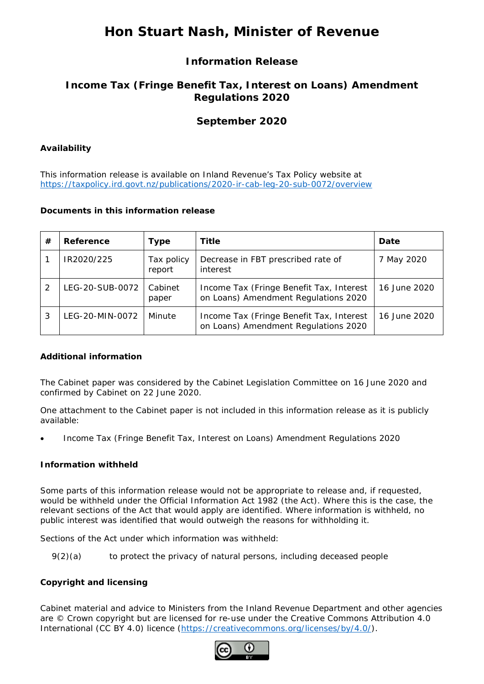# **Hon Stuart Nash, Minister of Revenue**

## **Information Release**

## **Income Tax (Fringe Benefit Tax, Interest on Loans) Amendment Regulations 2020**

## **September 2020**

#### **Availability**

This information release is available on Inland Revenue's Tax Policy website at <https://taxpolicy.ird.govt.nz/publications/2020-ir-cab-leg-20-sub-0072/overview>

#### **Documents in this information release**

| #             | Reference       | <b>Type</b>          | Title                                                                            | Date         |
|---------------|-----------------|----------------------|----------------------------------------------------------------------------------|--------------|
|               | IR2020/225      | Tax policy<br>report | Decrease in FBT prescribed rate of<br>interest                                   | 7 May 2020   |
| $\mathcal{P}$ | LEG-20-SUB-0072 | Cabinet<br>paper     | Income Tax (Fringe Benefit Tax, Interest<br>on Loans) Amendment Regulations 2020 | 16 June 2020 |
| 3             | LEG-20-MIN-0072 | Minute               | Income Tax (Fringe Benefit Tax, Interest<br>on Loans) Amendment Regulations 2020 | 16 June 2020 |

#### **Additional information**

The Cabinet paper was considered by the Cabinet Legislation Committee on 16 June 2020 and confirmed by Cabinet on 22 June 2020.

One attachment to the Cabinet paper is not included in this information release as it is publicly available:

• Income Tax (Fringe Benefit Tax, Interest on Loans) Amendment Regulations 2020

#### **Information withheld**

Some parts of this information release would not be appropriate to release and, if requested, would be withheld under the Official Information Act 1982 (the Act). Where this is the case, the relevant sections of the Act that would apply are identified. Where information is withheld, no public interest was identified that would outweigh the reasons for withholding it.

Sections of the Act under which information was withheld:

9(2)(a) to protect the privacy of natural persons, including deceased people

#### **Copyright and licensing**

Cabinet material and advice to Ministers from the Inland Revenue Department and other agencies are © Crown copyright but are licensed for re-use under the Creative Commons Attribution 4.0 International (CC BY 4.0) licence [\(https://creativecommons.org/licenses/by/4.0/\)](https://creativecommons.org/licenses/by/4.0/).

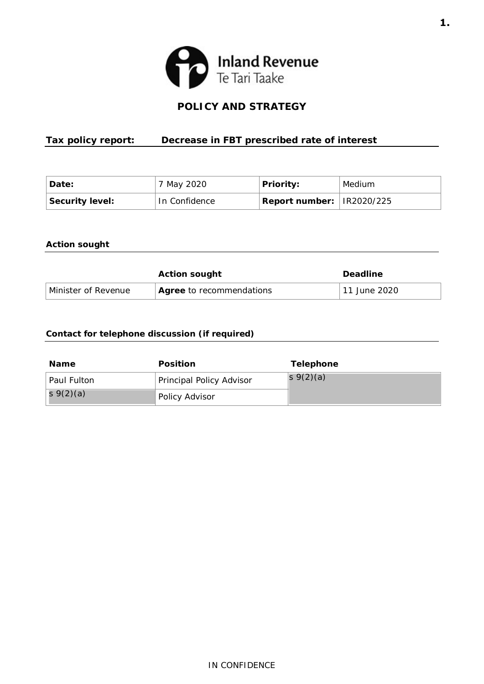

## **POLICY AND STRATEGY**

## <span id="page-2-0"></span> **Tax policy report: Decrease in FBT prescribed rate of interest**

| 'Date:                 | 7 May 2020    | <b>Priority:</b>                  | Medium |
|------------------------|---------------|-----------------------------------|--------|
| <b>Security level:</b> | In Confidence | $ $ Report number: $ $ IR2020/225 |        |

#### **Action sought**

|                     | <b>Action sought</b>            | <b>Deadline</b> |  |
|---------------------|---------------------------------|-----------------|--|
| Minister of Revenue | <b>Agree</b> to recommendations | 11 June 2020    |  |

#### **Contact for telephone discussion (if required)**

| <b>Name</b> | <b>Position</b>          | <b>Telephone</b> |
|-------------|--------------------------|------------------|
| Paul Fulton | Principal Policy Advisor | s $9(2)(a)$      |
| s $9(2)(a)$ | Policy Advisor           |                  |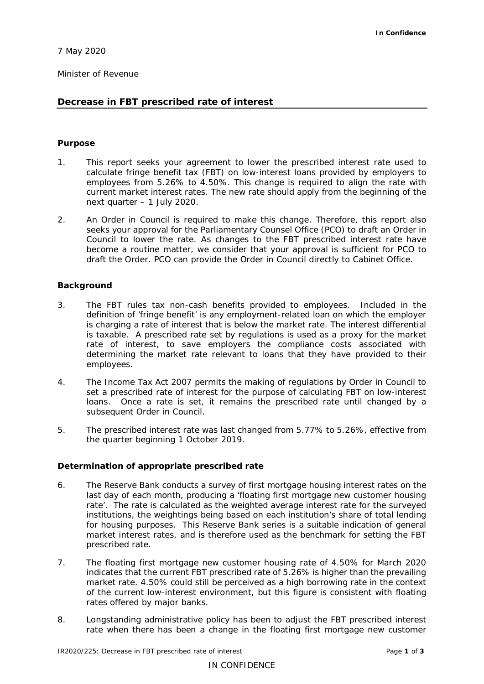Minister of Revenue

#### **Decrease in FBT prescribed rate of interest**

#### **Purpose**

- 1. This report seeks your agreement to lower the prescribed interest rate used to employees from 5.26% to 4.50%. This change is required to align the rate with current market interest rates. The new rate should apply from the beginning of the next quarter – 1 July 2020. calculate fringe benefit tax (FBT) on low-interest loans provided by employers to
- 2. An Order in Council is required to make this change. Therefore, this report also seeks your approval for the Parliamentary Counsel Office (PCO) to draft an Order in Council to lower the rate. As changes to the FBT prescribed interest rate have become a routine matter, we consider that your approval is sufficient for PCO to draft the Order. PCO can provide the Order in Council directly to Cabinet Office.

#### **Background**

- 3. The FBT rules tax non-cash benefits provided to employees. Included in the definition of 'fringe benefit' is any employment-related loan on which the employer is charging a rate of interest that is below the market rate. The interest differential is taxable. A prescribed rate set by regulations is used as a proxy for the market rate of interest, to save employers the compliance costs associated with determining the market rate relevant to loans that they have provided to their employees.
- 4. The Income Tax Act 2007 permits the making of regulations by Order in Council to set a prescribed rate of interest for the purpose of calculating FBT on low-interest loans. Once a rate is set, it remains the prescribed rate until changed by a subsequent Order in Council.
- 5. The prescribed interest rate was last changed from 5.77% to 5.26%, effective from the quarter beginning 1 October 2019.

#### **Determination of appropriate prescribed rate**

- 6. The Reserve Bank conducts a survey of first mortgage housing interest rates on the last day of each month, producing a 'floating first mortgage new customer housing rate'. The rate is calculated as the weighted average interest rate for the surveyed institutions, the weightings being based on each institution's share of total lending market interest rates, and is therefore used as the benchmark for setting the FBT prescribed rate. for housing purposes. This Reserve Bank series is a suitable indication of general
- 7. The floating first mortgage new customer housing rate of 4.50% for March 2020 indicates that the current FBT prescribed rate of 5.26% is higher than the prevailing market rate. 4.50% could still be perceived as a high borrowing rate in the context of the current low-interest environment, but this figure is consistent with floating rates offered by major banks.
- 8. Longstanding administrative policy has been to adjust the FBT prescribed interest rate when there has been a change in the floating first mortgage new customer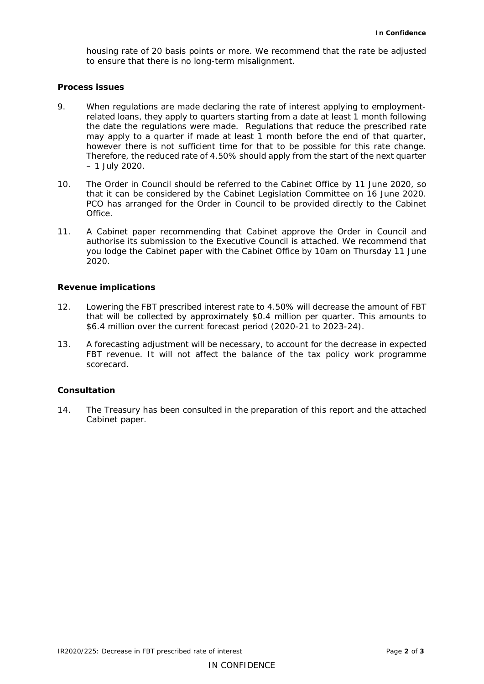housing rate of 20 basis points or more. We recommend that the rate be adjusted to ensure that there is no long-term misalignment.

#### **Process issues**

- 9. When regulations are made declaring the rate of interest applying to employment- related loans, they apply to quarters starting from a date at least 1 month following the date the regulations were made. Regulations that reduce the prescribed rate may apply to a quarter if made at least 1 month before the end of that quarter, however there is not sufficient time for that to be possible for this rate change. Therefore, the reduced rate of 4.50% should apply from the start of the next quarter – 1 July 2020.
- that it can be considered by the Cabinet Legislation Committee on 16 June 2020. PCO has arranged for the Order in Council to be provided directly to the Cabinet 10. The Order in Council should be referred to the Cabinet Office by 11 June 2020, so Office.
- 11. A Cabinet paper recommending that Cabinet approve the Order in Council and you lodge the Cabinet paper with the Cabinet Office by 10am on Thursday 11 June authorise its submission to the Executive Council is attached. We recommend that 2020.

#### **Revenue implications**

- 12. Lowering the FBT prescribed interest rate to 4.50% will decrease the amount of FBT that will be collected by approximately \$0.4 million per quarter. This amounts to \$6.4 million over the current forecast period (2020-21 to 2023-24).
- 13. A forecasting adjustment will be necessary, to account for the decrease in expected FBT revenue. It will not affect the balance of the tax policy work programme scorecard.

#### **Consultation**

 14. The Treasury has been consulted in the preparation of this report and the attached Cabinet paper.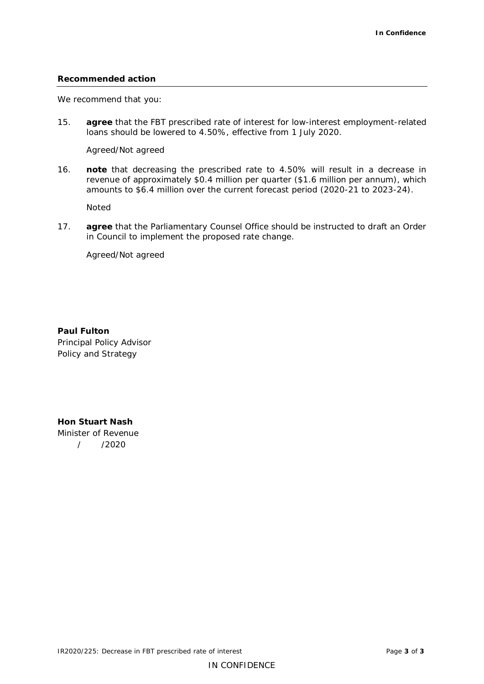#### **Recommended action**

We recommend that you:

 15. **agree** that the FBT prescribed rate of interest for low-interest employment-related loans should be lowered to 4.50%, effective from 1 July 2020.

Agreed/Not agreed

 16. **note** that decreasing the prescribed rate to 4.50% will result in a decrease in revenue of approximately \$0.4 million per quarter (\$1.6 million per annum), which amounts to \$6.4 million over the current forecast period (2020-21 to 2023-24).

Noted

 17. **agree** that the Parliamentary Counsel Office should be instructed to draft an Order in Council to implement the proposed rate change.

Agreed/Not agreed

 Principal Policy Advisor Policy and Strategy **Paul Fulton** 

 **Hon Stuart Nash**  Minister of Revenue / /2020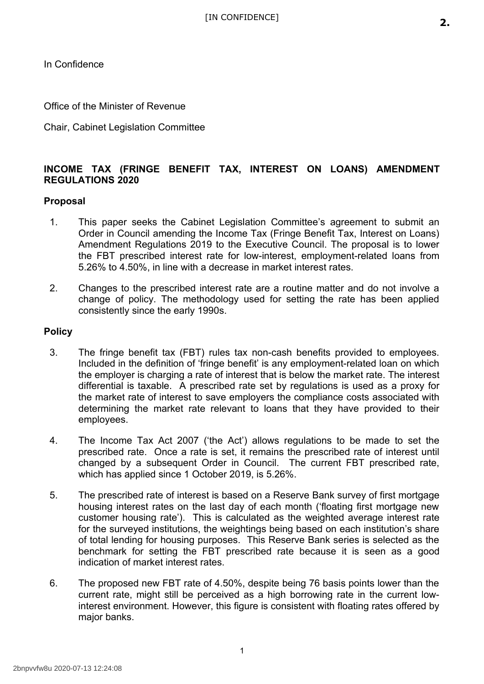<span id="page-6-0"></span>In Confidence

Office of the Minister of Revenue

Chair, Cabinet Legislation Committee

## **INCOME TAX (FRINGE BENEFIT TAX, INTEREST ON LOANS) AMENDMENT REGULATIONS 2020**

## **Proposal**

- 1. This paper seeks the Cabinet Legislation Committee's agreement to submit an Order in Council amending the Income Tax (Fringe Benefit Tax, Interest on Loans) Amendment Regulations 2019 to the Executive Council. The proposal is to lower the FBT prescribed interest rate for low-interest, employment-related loans from 5.26% to 4.50%, in line with a decrease in market interest rates.
- 2. Changes to the prescribed interest rate are a routine matter and do not involve a change of policy. The methodology used for setting the rate has been applied consistently since the early 1990s.

## **Policy**

- 3. The fringe benefit tax (FBT) rules tax non-cash benefits provided to employees. Included in the definition of 'fringe benefit' is any employment-related loan on which the employer is charging a rate of interest that is below the market rate. The interest differential is taxable. A prescribed rate set by regulations is used as a proxy for the market rate of interest to save employers the compliance costs associated with determining the market rate relevant to loans that they have provided to their employees.
- 4. The Income Tax Act 2007 ('the Act') allows regulations to be made to set the prescribed rate. Once a rate is set, it remains the prescribed rate of interest until changed by a subsequent Order in Council. The current FBT prescribed rate, which has applied since 1 October 2019, is 5.26%.
- 5. The prescribed rate of interest is based on a Reserve Bank survey of first mortgage housing interest rates on the last day of each month ('floating first mortgage new customer housing rate'). This is calculated as the weighted average interest rate for the surveyed institutions, the weightings being based on each institution's share of total lending for housing purposes. This Reserve Bank series is selected as the benchmark for setting the FBT prescribed rate because it is seen as a good indication of market interest rates.
- 6. The proposed new FBT rate of 4.50%, despite being 76 basis points lower than the current rate, might still be perceived as a high borrowing rate in the current low- interest environment. However, this figure is consistent with floating rates offered by major banks.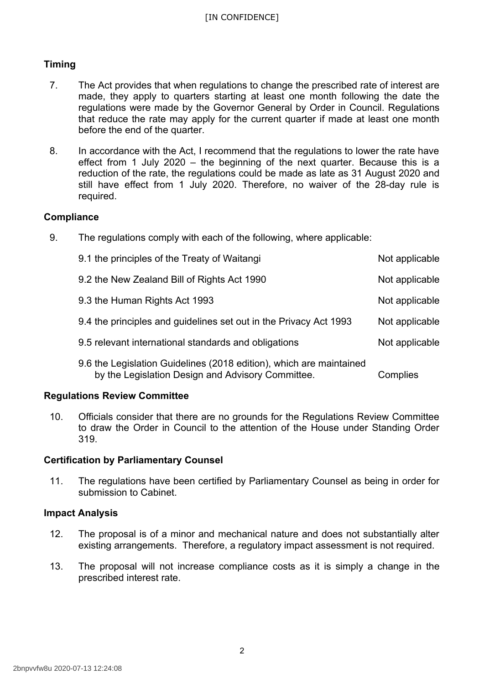## **Timing**

- 7. The Act provides that when regulations to change the prescribed rate of interest are made, they apply to quarters starting at least one month following the date the regulations were made by the Governor General by Order in Council. Regulations that reduce the rate may apply for the current quarter if made at least one month before the end of the quarter.
- 8. In accordance with the Act, I recommend that the regulations to lower the rate have effect from 1 July 2020 – the beginning of the next quarter. Because this is a reduction of the rate, the regulations could be made as late as 31 August 2020 and still have effect from 1 July 2020. Therefore, no waiver of the 28-day rule is required.

## **Compliance**

9. The regulations comply with each of the following, where applicable:

| 9.1 the principles of the Treaty of Waitangi                                                                             | Not applicable |
|--------------------------------------------------------------------------------------------------------------------------|----------------|
| 9.2 the New Zealand Bill of Rights Act 1990                                                                              | Not applicable |
| 9.3 the Human Rights Act 1993                                                                                            | Not applicable |
| 9.4 the principles and guidelines set out in the Privacy Act 1993                                                        | Not applicable |
| 9.5 relevant international standards and obligations                                                                     | Not applicable |
| 9.6 the Legislation Guidelines (2018 edition), which are maintained<br>by the Legislation Design and Advisory Committee. | Complies       |

## **Regulations Review Committee**

 10. Officials consider that there are no grounds for the Regulations Review Committee to draw the Order in Council to the attention of the House under Standing Order 319.

## **Certification by Parliamentary Counsel**

 11. The regulations have been certified by Parliamentary Counsel as being in order for submission to Cabinet.

## **Impact Analysis**

- 12. The proposal is of a minor and mechanical nature and does not substantially alter existing arrangements. Therefore, a regulatory impact assessment is not required.
- 13. The proposal will not increase compliance costs as it is simply a change in the prescribed interest rate.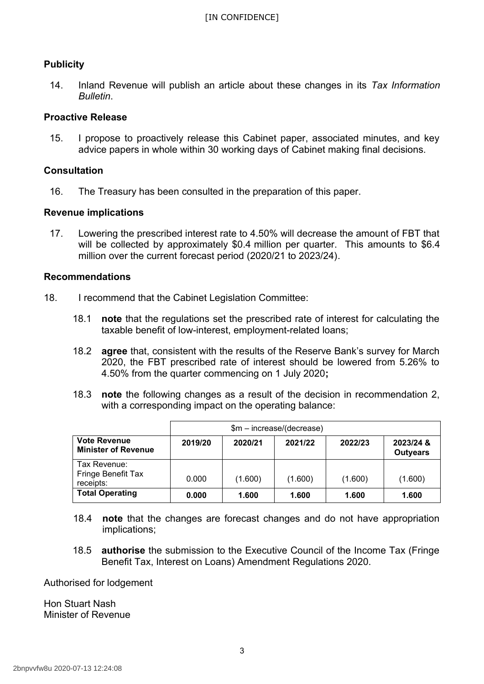## **Publicity**

 14. Inland Revenue will publish an article about these changes in its *Tax Information Bulletin*.

### **Proactive Release**

 15. I propose to proactively release this Cabinet paper, associated minutes, and key advice papers in whole within 30 working days of Cabinet making final decisions.

### **Consultation**

16. The Treasury has been consulted in the preparation of this paper.

#### **Revenue implications**

 17. Lowering the prescribed interest rate to 4.50% will decrease the amount of FBT that will be collected by approximately \$0.4 million per quarter. This amounts to \$6.4 million over the current forecast period (2020/21 to 2023/24).

#### **Recommendations**

- 18. I recommend that the Cabinet Legislation Committee:
	- 18.1 **note** that the regulations set the prescribed rate of interest for calculating the taxable benefit of low-interest, employment-related loans;
	- 18.2 **agree** that, consistent with the results of the Reserve Bank's survey for March 2020, the FBT prescribed rate of interest should be lowered from 5.26% to 4.50% from the quarter commencing on 1 July 2020**;**
	- 18.3 **note** the following changes as a result of the decision in recommendation 2, with a corresponding impact on the operating balance:

|                                                   | $$m$ – increase/(decrease) |         |         |         |                              |
|---------------------------------------------------|----------------------------|---------|---------|---------|------------------------------|
| <b>Vote Revenue</b><br><b>Minister of Revenue</b> | 2019/20                    | 2020/21 | 2021/22 | 2022/23 | 2023/24 &<br><b>Outyears</b> |
| Tax Revenue:<br>Fringe Benefit Tax<br>receipts:   | 0.000                      | (1.600) | (1.600) | (1.600) | (1.600)                      |
| <b>Total Operating</b>                            | 0.000                      | 1.600   | 1.600   | 1.600   | 1.600                        |

- 18.4 **note** that the changes are forecast changes and do not have appropriation implications;
- 18.5 **authorise** the submission to the Executive Council of the Income Tax (Fringe Benefit Tax, Interest on Loans) Amendment Regulations 2020.

Authorised for lodgement

 Hon Stuart Nash Minister of Revenue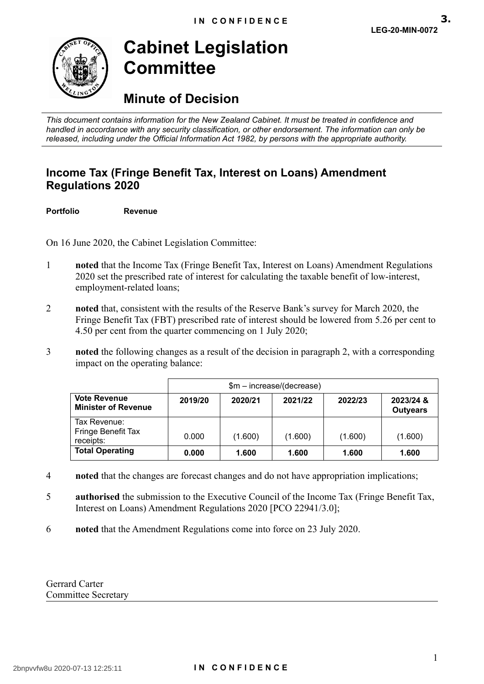<span id="page-10-0"></span>

# **Cabinet Legislation Committee**

## **Minute of Decision**

 *This document contains information for the New Zealand Cabinet. It must be treated in confidence and handled in accordance with any security classification, or other endorsement. The information can only be released, including under the Official Information Act 1982, by persons with the appropriate authority.* 

## **Income Tax (Fringe Benefit Tax, Interest on Loans) Amendment Regulations 2020**

**Portfolio Revenue** 

On 16 June 2020, the Cabinet Legislation Committee:

- 1 **noted** that the Income Tax (Fringe Benefit Tax, Interest on Loans) Amendment Regulations 2020 set the prescribed rate of interest for calculating the taxable benefit of low-interest, employment-related loans;
- 2 **noted** that, consistent with the results of the Reserve Bank's survey for March 2020, the Fringe Benefit Tax (FBT) prescribed rate of interest should be lowered from 5.26 per cent to 4.50 per cent from the quarter commencing on 1 July 2020;
- 3 **noted** the following changes as a result of the decision in paragraph 2, with a corresponding impact on the operating balance:

|                                                   | \$m - increase/(decrease) |         |         |         |                              |
|---------------------------------------------------|---------------------------|---------|---------|---------|------------------------------|
| <b>Vote Revenue</b><br><b>Minister of Revenue</b> | 2019/20                   | 2020/21 | 2021/22 | 2022/23 | 2023/24 &<br><b>Outyears</b> |
| Tax Revenue:<br>Fringe Benefit Tax<br>receipts:   | 0.000                     | (1.600) | (1.600) | (1.600) | (1.600)                      |
| <b>Total Operating</b>                            | 0.000                     | 1.600   | 1.600   | 1.600   | 1.600                        |

- 4 **noted** that the changes are forecast changes and do not have appropriation implications;
- 5 **a thorised** the submission to the Executive Council of the Income Tax (Fringe Benefit Tax, Interest on Loans) Amendment Regulations 2020 [PCO 22941/3.0];
- 6 **noted** that the Amendment Regulations come into force on 23 July 2020.

Gerrard Carter Committee Secretary